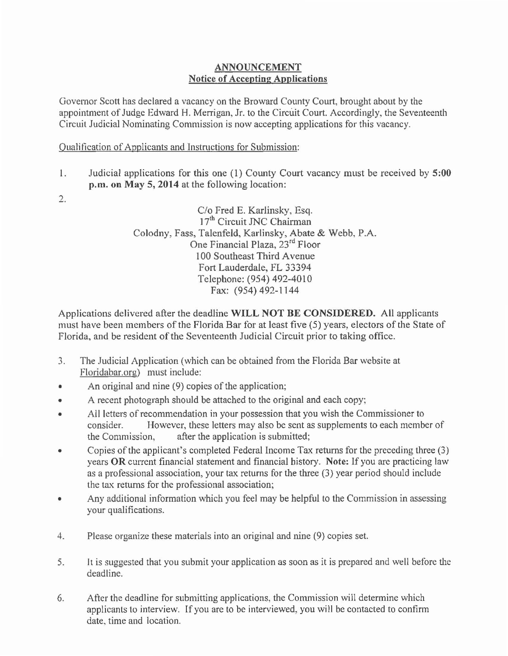## ANNOUNCEMENT Notice of Accepting Applications

Governor Scott has declared a vacancy on the Broward County Court, brought about by the appointment of Judge Edward H. Merrigan, Jr. to the Circuit Court. Accordingly, the Seventeenth Circuit Judicial Nominating Commission is now accepting applications for this vacancy.

Qualification of Applicants and Instmctions for Submission:

- l. Judicial applications for this one ( 1) County Court vacancy must be received by 5:00 p.m. on May 5, 2014 at the following location:
- 2.

C/o Fred E. Karlinsky, Esq.  $17<sup>th</sup>$  Circuit JNC Chairman Colodny, Fass, Talenfeld, Karlinsky, Abate & Webb, P.A. One Financial Plaza, 23rd Floor 1 00 Southeast Third A venue Fort Lauderdale, FL 33394 Telephone: (954) 492-4010 Fax: (954) 492-1144

Applications delivered after the deadline WILL NOT BE CONSIDERED. All applicants must have been members of the Florida Bar for at least five (5) years, electors of the State of Florida, and be resident of the Seventeenth Judicial Circuit prior to taking office.

- 3. The Judicial Application (which can be obtained from the Florida Bar website at Floridabar.org) must include:
- An original and nine (9) copies of the application;
- A recent photograph should be attached to the original and each copy;
- All letters of recommendation in your possession that you wish the Commissioner to consider. However, these letters may also be sent as supplements to each member of the Commission, after the application is submitted;
- Copies of the applicant's completed Federal Income Tax returns for the preceding three (3) years OR current financial statement and financial history. Note: If you are practicing law as a professional association, your tax returns for the three (3) year period should include the tax returns for the professional association;
- Any additional information which you feel may be helpful to the Commission in assessing your qualifications.
- 4. Please organize these materials into an original and nine (9) copies set.
- 5. It is suggested that you submit your application as soon as it is prepared and well before the deadline.
- 6. After the deadline for submitting applications, the Commission will determine which applicants to interview. If you are to be interviewed, you will be contacted to confirm date, time and location.